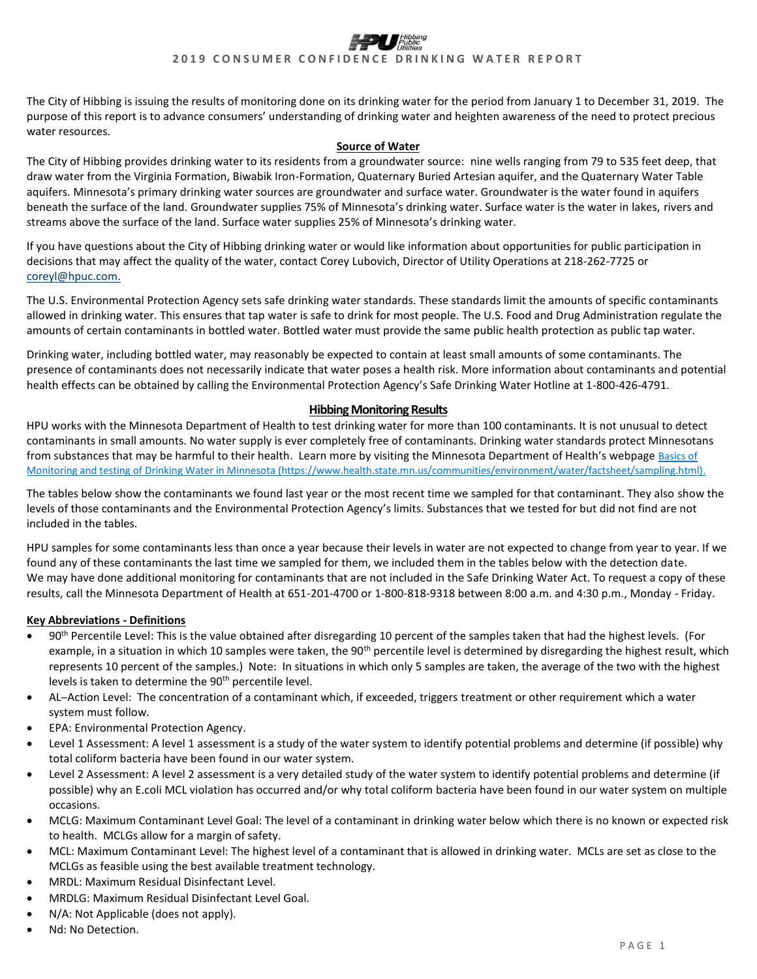The City of Hibbing is issuing the results of monitoring done on its drinking water for the period from January 1 to December 31, 2019. The purpose of this report is to advance consumers' understanding of drinking water and heighten awareness of the need to protect precious water resources.

#### **Source of Water**

The City of Hibbing provides drinking water to its residents from a groundwater source: nine wells ranging from 79 to 535 feet deep, that draw water from the Virginia Formation, Biwabik Iron-Formation, Quaternary Buried Artesian aquifer, and the Quaternary Water Table aquifers. Minnesota's primary drinking water sources are groundwater and surface water. Groundwater is the water found in aquifers beneath the surface of the land. Groundwater supplies 75% of Minnesota's drinking water. Surface water is the water in lakes, rivers and streams above the surface of the land. Surface water supplies 25% of Minnesota's drinking water.

If you have questions about the City of Hibbing drinking water or would like information about opportunities for public participation in decisions that may affect the quality of the water, contact Corey Lubovich, Director of Utility Operations at 218-262-7725 or [coreyl@hpuc.com.](mailto:coreyl@hpuc.com)

The U.S. Environmental Protection Agency sets safe drinking water standards. These standards limit the amounts of specific contaminants allowed in drinking water. This ensures that tap water is safe to drink for most people. The U.S. Food and Drug Administration regulate the amounts of certain contaminants in bottled water. Bottled water must provide the same public health protection as public tap water.

Drinking water, including bottled water, may reasonably be expected to contain at least small amounts of some contaminants. The presence of contaminants does not necessarily indicate that water poses a health risk. More information about contaminants and potential health effects can be obtained by calling the Environmental Protection Agency's Safe Drinking Water Hotline at 1-800-426-4791.

### **Hibbing Monitoring Results**

HPU works with the Minnesota Department of Health to test drinking water for more than 100 contaminants. It is not unusual to detect contaminants in small amounts. No water supply is ever completely free of contaminants. Drinking water standards protect Minnesotans from substances that may be harmful to their health. Learn more by visiting the Minnesota Department of Health's webpage Basics of Monitoring and testing [of Drinking Water in Minnesota \(https://www.health.state.mn.us/communities/environment/water/factsheet/sampling.html\).](https://www.health.state.mn.us/communities/environment/water/factsheet/sampling.html)

The tables below show the contaminants we found last year or the most recent time we sampled for that contaminant. They also show the levels of those contaminants and the Environmental Protection Agency's limits. Substances that we tested for but did not find are not included in the tables.

HPU samples for some contaminants less than once a year because their levels in water are not expected to change from year to year. If we found any of these contaminants the last time we sampled for them, we included them in the tables below with the detection date. We may have done additional monitoring for contaminants that are not included in the Safe Drinking Water Act. To request a copy of these results, call the Minnesota Department of Health at 651-201-4700 or 1-800-818-9318 between 8:00 a.m. and 4:30 p.m., Monday - Friday.

### **Key Abbreviations - Definitions**

- 90th Percentile Level: This is the value obtained after disregarding 10 percent of the samples taken that had the highest levels. (For example, in a situation in which 10 samples were taken, the  $90<sup>th</sup>$  percentile level is determined by disregarding the highest result, which represents 10 percent of the samples.) Note: In situations in which only 5 samples are taken, the average of the two with the highest levels is taken to determine the 90<sup>th</sup> percentile level.
- AL─Action Level: The concentration of a contaminant which, if exceeded, triggers treatment or other requirement which a water system must follow.
- EPA: Environmental Protection Agency.
- Level 1 Assessment: A level 1 assessment is a study of the water system to identify potential problems and determine (if possible) why total coliform bacteria have been found in our water system.
- Level 2 Assessment: A level 2 assessment is a very detailed study of the water system to identify potential problems and determine (if possible) why an E.coli MCL violation has occurred and/or why total coliform bacteria have been found in our water system on multiple occasions.
- MCLG: Maximum Contaminant Level Goal: The level of a contaminant in drinking water below which there is no known or expected risk to health. MCLGs allow for a margin of safety.
- MCL: Maximum Contaminant Level: The highest level of a contaminant that is allowed in drinking water. MCLs are set as close to the MCLGs as feasible using the best available treatment technology.
- MRDL: Maximum Residual Disinfectant Level.
- MRDLG: Maximum Residual Disinfectant Level Goal.
- N/A: Not Applicable (does not apply).
- Nd: No Detection.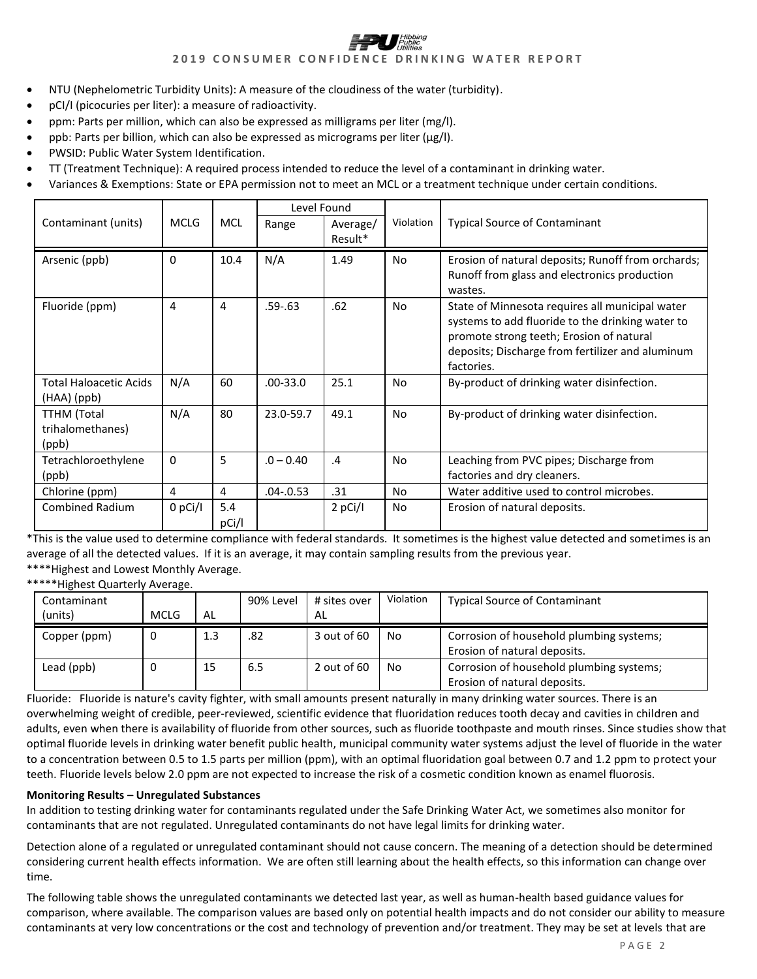- NTU (Nephelometric Turbidity Units): A measure of the cloudiness of the water (turbidity).
- pCI/I (picocuries per liter): a measure of radioactivity.
- ppm: Parts per million, which can also be expressed as milligrams per liter (mg/l).
- ppb: Parts per billion, which can also be expressed as micrograms per liter ( $\mu$ g/l).
- PWSID: Public Water System Identification.
- TT (Treatment Technique): A required process intended to reduce the level of a contaminant in drinking water.
- Variances & Exemptions: State or EPA permission not to meet an MCL or a treatment technique under certain conditions.

|                                                 |             |              | Level Found  |                     |           |                                                                                                                                                                                                                   |  |
|-------------------------------------------------|-------------|--------------|--------------|---------------------|-----------|-------------------------------------------------------------------------------------------------------------------------------------------------------------------------------------------------------------------|--|
| Contaminant (units)                             | <b>MCLG</b> | <b>MCL</b>   | Range        | Average/<br>Result* | Violation | <b>Typical Source of Contaminant</b>                                                                                                                                                                              |  |
| Arsenic (ppb)                                   | 0           | 10.4         | N/A          | 1.49                | No        | Erosion of natural deposits; Runoff from orchards;<br>Runoff from glass and electronics production<br>wastes.                                                                                                     |  |
| Fluoride (ppm)                                  | 4           | 4            | $.59 - .63$  | .62                 | No        | State of Minnesota requires all municipal water<br>systems to add fluoride to the drinking water to<br>promote strong teeth; Erosion of natural<br>deposits; Discharge from fertilizer and aluminum<br>factories. |  |
| <b>Total Haloacetic Acids</b><br>(HAA) (ppb)    | N/A         | 60           | $.00 - 33.0$ | 25.1                | No        | By-product of drinking water disinfection.                                                                                                                                                                        |  |
| <b>TTHM</b> (Total<br>trihalomethanes)<br>(ppb) | N/A         | 80           | 23.0-59.7    | 49.1                | No        | By-product of drinking water disinfection.                                                                                                                                                                        |  |
| Tetrachloroethylene<br>(ppb)                    | $\Omega$    | 5            | $.0 - 0.40$  | $\mathcal{A}$       | No        | Leaching from PVC pipes; Discharge from<br>factories and dry cleaners.                                                                                                                                            |  |
| Chlorine (ppm)                                  | 4           | 4            | .04-.0.53    | .31                 | No        | Water additive used to control microbes.                                                                                                                                                                          |  |
| <b>Combined Radium</b>                          | 0 pCi/l     | 5.4<br>pCi/l |              | 2 pCi/I             | No        | Erosion of natural deposits.                                                                                                                                                                                      |  |

\*This is the value used to determine compliance with federal standards. It sometimes is the highest value detected and sometimes is an average of all the detected values. If it is an average, it may contain sampling results from the previous year. \*\*\*\*Highest and Lowest Monthly Average.

\*\*\*\*\*Highest Quarterly Average.

| Contaminant<br>(units) | <b>MCLG</b> | AL  | 90% Level | # sites over<br>AL | Violation | <b>Typical Source of Contaminant</b>                                     |  |
|------------------------|-------------|-----|-----------|--------------------|-----------|--------------------------------------------------------------------------|--|
| Copper (ppm)           | 0           | 1.3 | .82       | 3 out of 60        | No        | Corrosion of household plumbing systems;<br>Erosion of natural deposits. |  |
| Lead (ppb)             |             | 15  | 6.5       | 2 out of $60$      | No        | Corrosion of household plumbing systems;<br>Erosion of natural deposits. |  |

Fluoride: Fluoride is nature's cavity fighter, with small amounts present naturally in many drinking water sources. There is an overwhelming weight of credible, peer-reviewed, scientific evidence that fluoridation reduces tooth decay and cavities in children and adults, even when there is availability of fluoride from other sources, such as fluoride toothpaste and mouth rinses. Since studies show that optimal fluoride levels in drinking water benefit public health, municipal community water systems adjust the level of fluoride in the water to a concentration between 0.5 to 1.5 parts per million (ppm), with an optimal fluoridation goal between 0.7 and 1.2 ppm to protect your teeth. Fluoride levels below 2.0 ppm are not expected to increase the risk of a cosmetic condition known as enamel fluorosis.

### **Monitoring Results – Unregulated Substances**

In addition to testing drinking water for contaminants regulated under the Safe Drinking Water Act, we sometimes also monitor for contaminants that are not regulated. Unregulated contaminants do not have legal limits for drinking water.

Detection alone of a regulated or unregulated contaminant should not cause concern. The meaning of a detection should be determined considering current health effects information. We are often still learning about the health effects, so this information can change over time.

The following table shows the unregulated contaminants we detected last year, as well as human-health based guidance values for comparison, where available. The comparison values are based only on potential health impacts and do not consider our ability to measure contaminants at very low concentrations or the cost and technology of prevention and/or treatment. They may be set at levels that are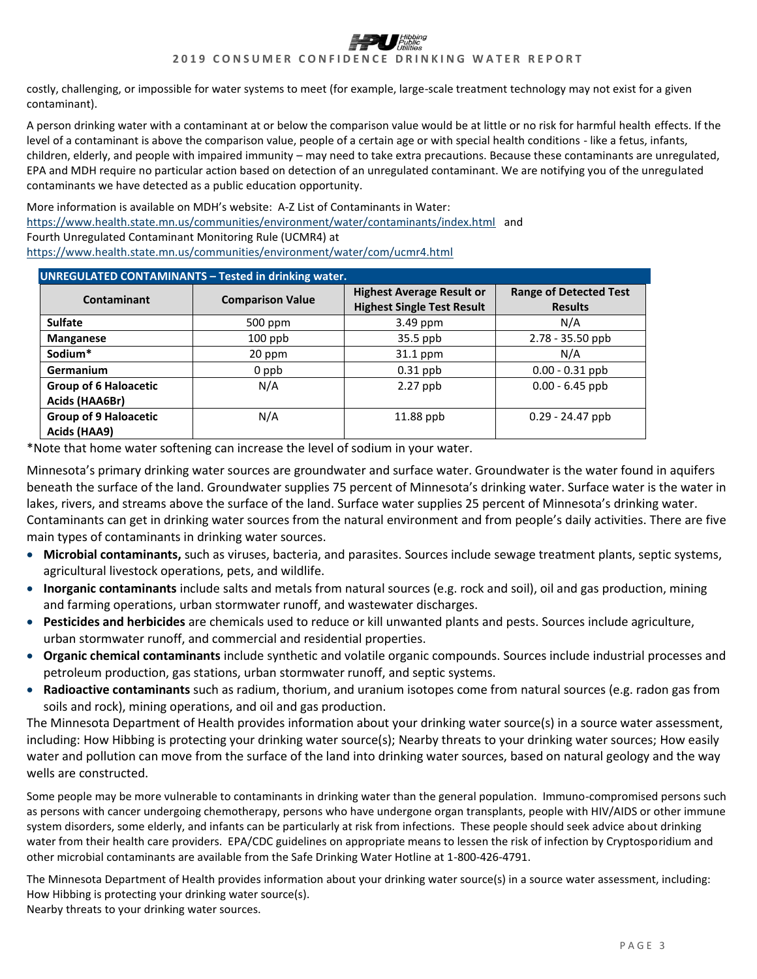costly, challenging, or impossible for water systems to meet (for example, large-scale treatment technology may not exist for a given contaminant).

A person drinking water with a contaminant at or below the comparison value would be at little or no risk for harmful health effects. If the level of a contaminant is above the comparison value, people of a certain age or with special health conditions - like a fetus, infants, children, elderly, and people with impaired immunity – may need to take extra precautions. Because these contaminants are unregulated, EPA and MDH require no particular action based on detection of an unregulated contaminant. We are notifying you of the unregulated contaminants we have detected as a public education opportunity.

More information is available on MDH's website: A-Z List of Contaminants in Water: <https://www.health.state.mn.us/communities/environment/water/contaminants/index.html> and Fourth Unregulated Contaminant Monitoring Rule (UCMR4) at <https://www.health.state.mn.us/communities/environment/water/com/ucmr4.html>

| <b>UNREGULATED CONTAMINANTS - Tested in drinking water.</b> |                         |                                                                       |                                                 |  |  |  |  |  |
|-------------------------------------------------------------|-------------------------|-----------------------------------------------------------------------|-------------------------------------------------|--|--|--|--|--|
| Contaminant                                                 | <b>Comparison Value</b> | <b>Highest Average Result or</b><br><b>Highest Single Test Result</b> | <b>Range of Detected Test</b><br><b>Results</b> |  |  |  |  |  |
| <b>Sulfate</b>                                              | 500 ppm                 | 3.49 ppm                                                              | N/A                                             |  |  |  |  |  |
| <b>Manganese</b>                                            | $100$ ppb               | $35.5$ ppb                                                            | 2.78 - 35.50 ppb                                |  |  |  |  |  |
| Sodium*                                                     | 20 ppm                  | 31.1 ppm                                                              | N/A                                             |  |  |  |  |  |
| Germanium                                                   | 0 ppb                   | $0.31$ ppb                                                            | $0.00 - 0.31$ ppb                               |  |  |  |  |  |
| <b>Group of 6 Haloacetic</b><br>Acids (HAA6Br)              | N/A                     | $2.27$ ppb                                                            | $0.00 - 6.45$ ppb                               |  |  |  |  |  |
| <b>Group of 9 Haloacetic</b><br>Acids (HAA9)                | N/A                     | 11.88 ppb                                                             | $0.29 - 24.47$ ppb                              |  |  |  |  |  |

\*Note that home water softening can increase the level of sodium in your water.

Minnesota's primary drinking water sources are groundwater and surface water. Groundwater is the water found in aquifers beneath the surface of the land. Groundwater supplies 75 percent of Minnesota's drinking water. Surface water is the water in lakes, rivers, and streams above the surface of the land. Surface water supplies 25 percent of Minnesota's drinking water. Contaminants can get in drinking water sources from the natural environment and from people's daily activities. There are five main types of contaminants in drinking water sources.

- **Microbial contaminants,** such as viruses, bacteria, and parasites. Sources include sewage treatment plants, septic systems, agricultural livestock operations, pets, and wildlife.
- **Inorganic contaminants** include salts and metals from natural sources (e.g. rock and soil), oil and gas production, mining and farming operations, urban stormwater runoff, and wastewater discharges.
- **Pesticides and herbicides** are chemicals used to reduce or kill unwanted plants and pests. Sources include agriculture, urban stormwater runoff, and commercial and residential properties.
- **Organic chemical contaminants** include synthetic and volatile organic compounds. Sources include industrial processes and petroleum production, gas stations, urban stormwater runoff, and septic systems.
- **Radioactive contaminants** such as radium, thorium, and uranium isotopes come from natural sources (e.g. radon gas from soils and rock), mining operations, and oil and gas production.

The Minnesota Department of Health provides information about your drinking water source(s) in a source water assessment, including: How Hibbing is protecting your drinking water source(s); Nearby threats to your drinking water sources; How easily water and pollution can move from the surface of the land into drinking water sources, based on natural geology and the way wells are constructed.

Some people may be more vulnerable to contaminants in drinking water than the general population. Immuno-compromised persons such as persons with cancer undergoing chemotherapy, persons who have undergone organ transplants, people with HIV/AIDS or other immune system disorders, some elderly, and infants can be particularly at risk from infections. These people should seek advice about drinking water from their health care providers. EPA/CDC guidelines on appropriate means to lessen the risk of infection by Cryptosporidium and other microbial contaminants are available from the Safe Drinking Water Hotline at 1-800-426-4791.

The Minnesota Department of Health provides information about your drinking water source(s) in a source water assessment, including: How Hibbing is protecting your drinking water source(s). Nearby threats to your drinking water sources.